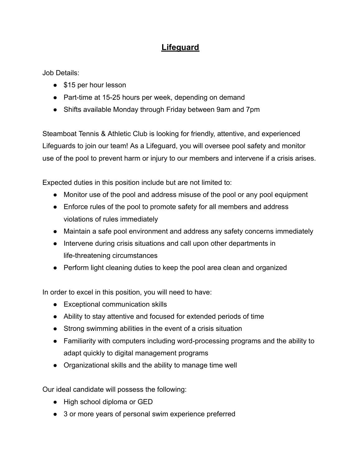## **Lifeguard**

Job Details:

- \$15 per hour lesson
- Part-time at 15-25 hours per week, depending on demand
- Shifts available Monday through Friday between 9am and 7pm

Steamboat Tennis & Athletic Club is looking for friendly, attentive, and experienced Lifeguards to join our team! As a Lifeguard, you will oversee pool safety and monitor use of the pool to prevent harm or injury to our members and intervene if a crisis arises.

Expected duties in this position include but are not limited to:

- Monitor use of the pool and address misuse of the pool or any pool equipment
- Enforce rules of the pool to promote safety for all members and address violations of rules immediately
- Maintain a safe pool environment and address any safety concerns immediately
- Intervene during crisis situations and call upon other departments in life-threatening circumstances
- Perform light cleaning duties to keep the pool area clean and organized

In order to excel in this position, you will need to have:

- Exceptional communication skills
- Ability to stay attentive and focused for extended periods of time
- Strong swimming abilities in the event of a crisis situation
- Familiarity with computers including word-processing programs and the ability to adapt quickly to digital management programs
- Organizational skills and the ability to manage time well

Our ideal candidate will possess the following:

- High school diploma or GED
- 3 or more years of personal swim experience preferred